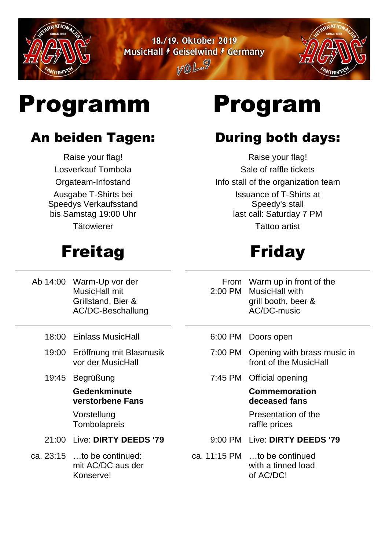

18./19. Oktober 2019 MusicHall f Geiselwind f Germany

WOLS

# Programm Program

## An beiden Tagen:

Raise your flag! Losverkauf Tombola Orgateam-Infostand Ausgabe T-Shirts bei Speedys Verkaufsstand bis Samstag 19:00 Uhr **Tätowierer** 

# Freitag Friday

## During both days:

Raise your flag! Sale of raffle tickets Info stall of the organization team Issuance of T-Shirts at Speedy's stall last call: Saturday 7 PM Tattoo artist

- Ab 14:00 Warm-Up vor der MusicHall mit Grillstand, Bier & AC/DC-Beschallung From 2:00 PM Warm up in front of the MusicHall with grill booth, beer & AC/DC-music
	- 18:00 Einlass MusicHall 6:00 PM Doors open
	- 19:00 Eröffnung mit Blasmusik vor der MusicHall
	- 19:45 Begrüßung

### **Gedenkminute verstorbene Fans**

Vorstellung **Tombolapreis** 

- 
- ca. 23:15 …to be continued: mit AC/DC aus der Konserve!
- - 7:00 PM Opening with brass music in front of the MusicHall
	- 7:45 PM Official opening

### **Commemoration deceased fans**

Presentation of the raffle prices

- 21:00 Live: **DIRTY DEEDS '79** 9:00 PM Live: **DIRTY DEEDS '79**
	- ca. 11:15 PM …to be continued with a tinned load of AC/DC!